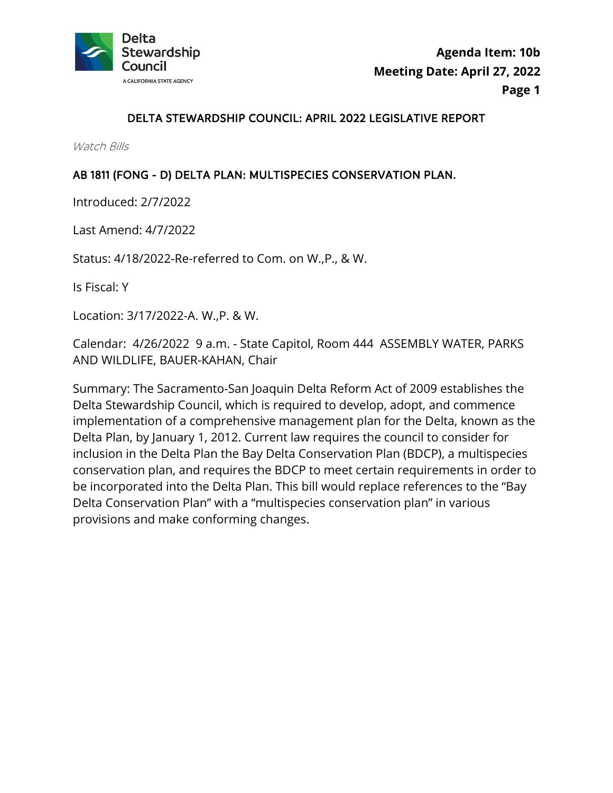

### DELTA STEWARDSHIP COUNCIL: APRIL 2022 LEGISLATIVE REPORT

Watch Bills

#### AB 1811 (FONG - D) DELTA PLAN: MULTISPECIES CONSERVATION PLAN.

Introduced: 2/7/2022

Last Amend: 4/7/2022

Status: 4/18/2022-Re-referred to Com. on W.,P., & W.

Is Fiscal: Y

Location: 3/17/2022-A. W.,P. & W.

Calendar: 4/26/2022 9 a.m. - State Capitol, Room 444 ASSEMBLY WATER, PARKS AND WILDLIFE, BAUER-KAHAN, Chair

 conservation plan, and requires the BDCP to meet certain requirements in order to Summary: The Sacramento-San Joaquin Delta Reform Act of 2009 establishes the Delta Stewardship Council, which is required to develop, adopt, and commence implementation of a comprehensive management plan for the Delta, known as the Delta Plan, by January 1, 2012. Current law requires the council to consider for inclusion in the Delta Plan the Bay Delta Conservation Plan (BDCP), a multispecies be incorporated into the Delta Plan. This bill would replace references to the "Bay Delta Conservation Plan" with a "multispecies conservation plan" in various provisions and make conforming changes.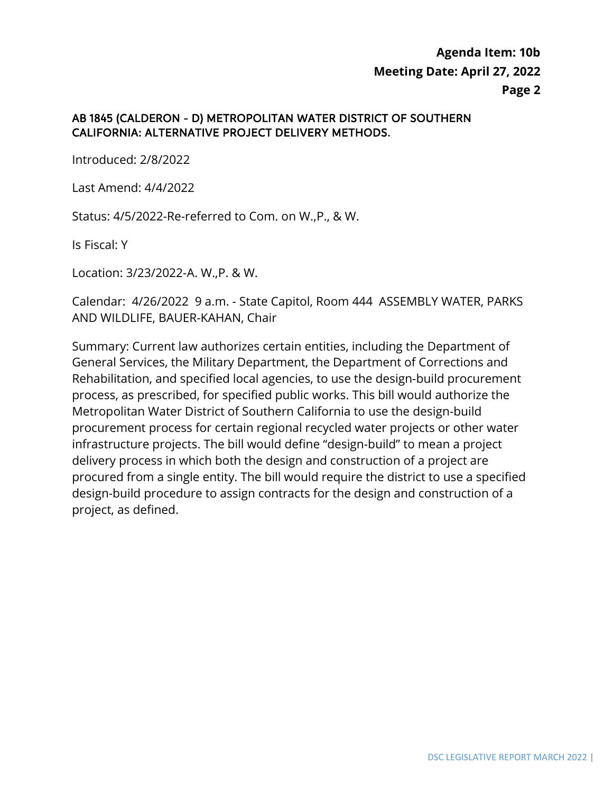#### AB 1845 (CALDERON - D) METROPOLITAN WATER DISTRICT OF SOUTHERN CALIFORNIA: ALTERNATIVE PROJECT DELIVERY METHODS.

Introduced: 2/8/2022

Last Amend: 4/4/2022

Status: 4/5/2022-Re-referred to Com. on W.,P., & W.

Is Fiscal: Y

Location: 3/23/2022-A. W.,P. & W.

 Calendar: 4/26/2022 9 a.m. - State Capitol, Room 444 ASSEMBLY WATER, PARKS AND WILDLIFE, BAUER-KAHAN, Chair

 Metropolitan Water District of Southern California to use the design-build Summary: Current law authorizes certain entities, including the Department of General Services, the Military Department, the Department of Corrections and Rehabilitation, and specified local agencies, to use the design-build procurement process, as prescribed, for specified public works. This bill would authorize the procurement process for certain regional recycled water projects or other water infrastructure projects. The bill would define "design-build" to mean a project delivery process in which both the design and construction of a project are procured from a single entity. The bill would require the district to use a specified design-build procedure to assign contracts for the design and construction of a project, as defined.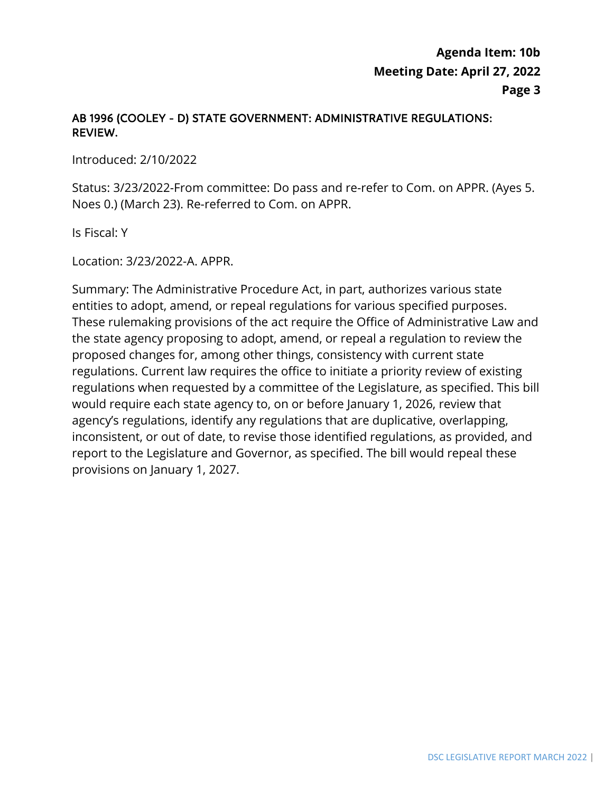### AB 1996 (COOLEY - D) STATE GOVERNMENT: ADMINISTRATIVE REGULATIONS: REVIEW.

Introduced: 2/10/2022

Status: 3/23/2022-From committee: Do pass and re-refer to Com. on APPR. (Ayes 5. Noes 0.) (March 23). Re-referred to Com. on APPR.

Is Fiscal: Y

Location: 3/23/2022-A. APPR.

Summary: The Administrative Procedure Act, in part, authorizes various state entities to adopt, amend, or repeal regulations for various specified purposes. These rulemaking provisions of the act require the Office of Administrative Law and the state agency proposing to adopt, amend, or repeal a regulation to review the proposed changes for, among other things, consistency with current state regulations. Current law requires the office to initiate a priority review of existing regulations when requested by a committee of the Legislature, as specified. This bill would require each state agency to, on or before January 1, 2026, review that agency's regulations, identify any regulations that are duplicative, overlapping, inconsistent, or out of date, to revise those identified regulations, as provided, and report to the Legislature and Governor, as specified. The bill would repeal these provisions on January 1, 2027.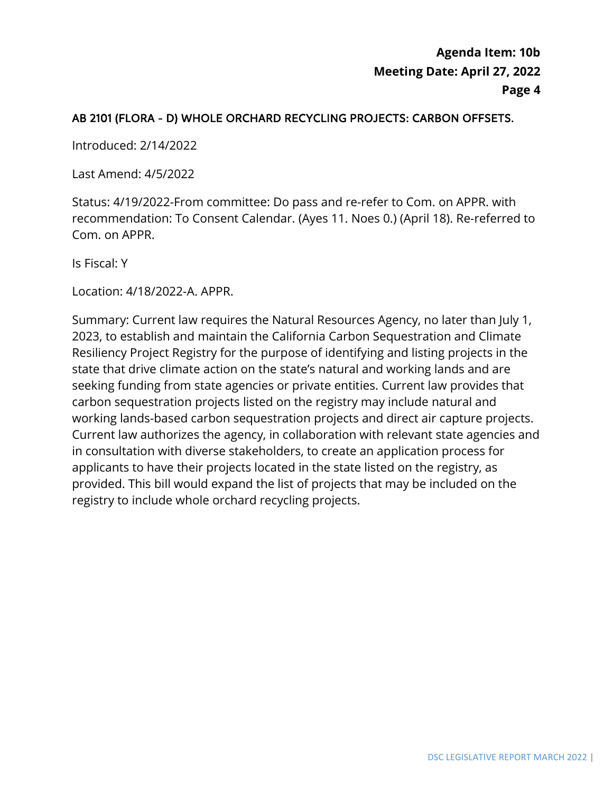### AB 2101 (FLORA - D) WHOLE ORCHARD RECYCLING PROJECTS: CARBON OFFSETS.

Introduced: 2/14/2022

Last Amend: 4/5/2022

Status: 4/19/2022-From committee: Do pass and re-refer to Com. on APPR. with recommendation: To Consent Calendar. (Ayes 11. Noes 0.) (April 18). Re-referred to Com. on APPR.

Is Fiscal: Y

Location: 4/18/2022-A. APPR.

 Resiliency Project Registry for the purpose of identifying and listing projects in the provided. This bill would expand the list of projects that may be included on the Summary: Current law requires the Natural Resources Agency, no later than July 1, 2023, to establish and maintain the California Carbon Sequestration and Climate state that drive climate action on the state's natural and working lands and are seeking funding from state agencies or private entities. Current law provides that carbon sequestration projects listed on the registry may include natural and working lands-based carbon sequestration projects and direct air capture projects. Current law authorizes the agency, in collaboration with relevant state agencies and in consultation with diverse stakeholders, to create an application process for applicants to have their projects located in the state listed on the registry, as registry to include whole orchard recycling projects.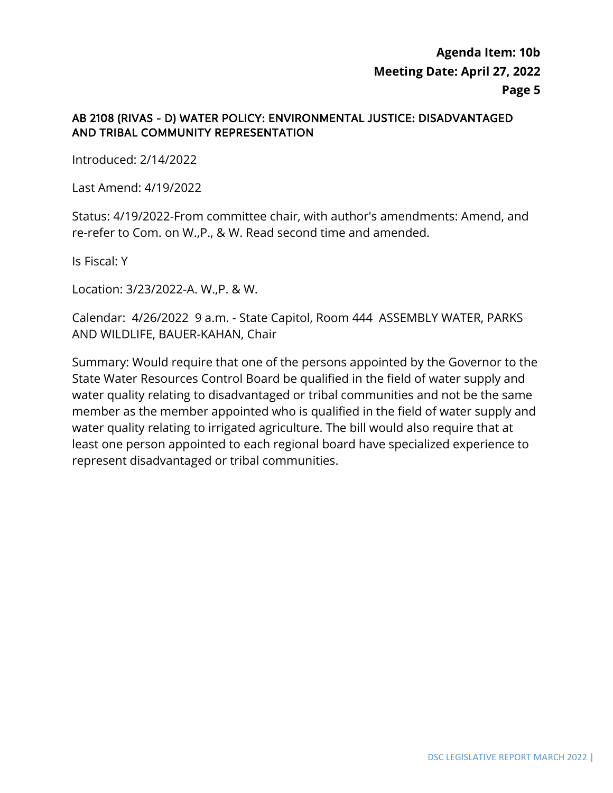### AB 2108 (RIVAS - D) WATER POLICY: ENVIRONMENTAL JUSTICE: DISADVANTAGED AND TRIBAL COMMUNITY REPRESENTATION

Introduced: 2/14/2022

Last Amend: 4/19/2022

Status: 4/19/2022-From committee chair, with author's amendments: Amend, and re-refer to Com. on W.,P., & W. Read second time and amended.

Is Fiscal: Y

Location: 3/23/2022-A. W.,P. & W.

Calendar: 4/26/2022 9 a.m. - State Capitol, Room 444 ASSEMBLY WATER, PARKS AND WILDLIFE, BAUER-KAHAN, Chair

 Summary: Would require that one of the persons appointed by the Governor to the State Water Resources Control Board be qualified in the field of water supply and water quality relating to disadvantaged or tribal communities and not be the same member as the member appointed who is qualified in the field of water supply and water quality relating to irrigated agriculture. The bill would also require that at least one person appointed to each regional board have specialized experience to represent disadvantaged or tribal communities.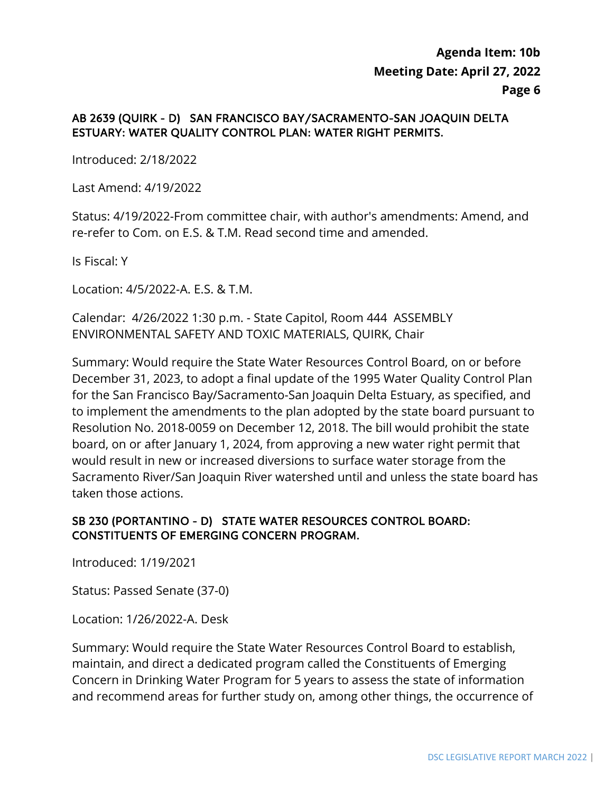### AB 2639 (QUIRK - D) SAN FRANCISCO BAY/SACRAMENTO-SAN JOAQUIN DELTA ESTUARY: WATER QUALITY CONTROL PLAN: WATER RIGHT PERMITS.

Introduced: 2/18/2022

Last Amend: 4/19/2022

Status: 4/19/2022-From committee chair, with author's amendments: Amend, and re-refer to Com. on E.S. & T.M. Read second time and amended.

Is Fiscal: Y

Location: 4/5/2022-A. E.S. & T.M.

 Calendar: 4/26/2022 1:30 p.m. - State Capitol, Room 444 ASSEMBLY ENVIRONMENTAL SAFETY AND TOXIC MATERIALS, QUIRK, Chair

Summary: Would require the State Water Resources Control Board, on or before December 31, 2023, to adopt a final update of the 1995 Water Quality Control Plan for the San Francisco Bay/Sacramento-San Joaquin Delta Estuary, as specified, and to implement the amendments to the plan adopted by the state board pursuant to Resolution No. 2018-0059 on December 12, 2018. The bill would prohibit the state board, on or after January 1, 2024, from approving a new water right permit that would result in new or increased diversions to surface water storage from the Sacramento River/San Joaquin River watershed until and unless the state board has taken those actions.

### SB 230 (PORTANTINO - D) STATE WATER RESOURCES CONTROL BOARD: CONSTITUENTS OF EMERGING CONCERN PROGRAM.

Introduced: 1/19/2021

Status: Passed Senate (37-0)

Location: 1/26/2022-A. Desk

Summary: Would require the State Water Resources Control Board to establish, maintain, and direct a dedicated program called the Constituents of Emerging Concern in Drinking Water Program for 5 years to assess the state of information and recommend areas for further study on, among other things, the occurrence of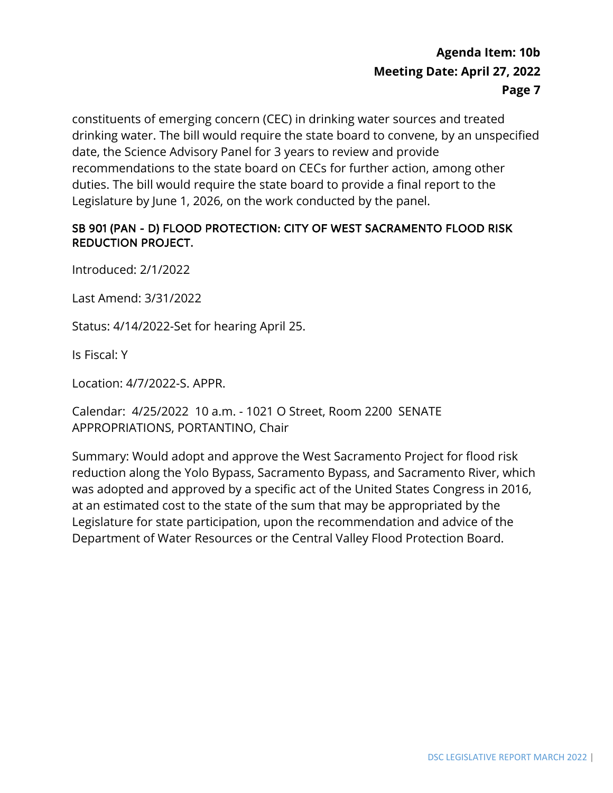constituents of emerging concern (CEC) in drinking water sources and treated drinking water. The bill would require the state board to convene, by an unspecified date, the Science Advisory Panel for 3 years to review and provide recommendations to the state board on CECs for further action, among other duties. The bill would require the state board to provide a final report to the Legislature by June 1, 2026, on the work conducted by the panel.

#### SB 901 (PAN - D) FLOOD PROTECTION: CITY OF WEST SACRAMENTO FLOOD RISK REDUCTION PROJECT.

Introduced: 2/1/2022

Last Amend: 3/31/2022

Status: 4/14/2022-Set for hearing April 25.

Is Fiscal: Y

Location: 4/7/2022-S. APPR.

 Calendar: 4/25/2022 10 a.m. - 1021 O Street, Room 2200 SENATE APPROPRIATIONS, PORTANTINO, Chair

Summary: Would adopt and approve the West Sacramento Project for flood risk reduction along the Yolo Bypass, Sacramento Bypass, and Sacramento River, which was adopted and approved by a specific act of the United States Congress in 2016, at an estimated cost to the state of the sum that may be appropriated by the Legislature for state participation, upon the recommendation and advice of the Department of Water Resources or the Central Valley Flood Protection Board.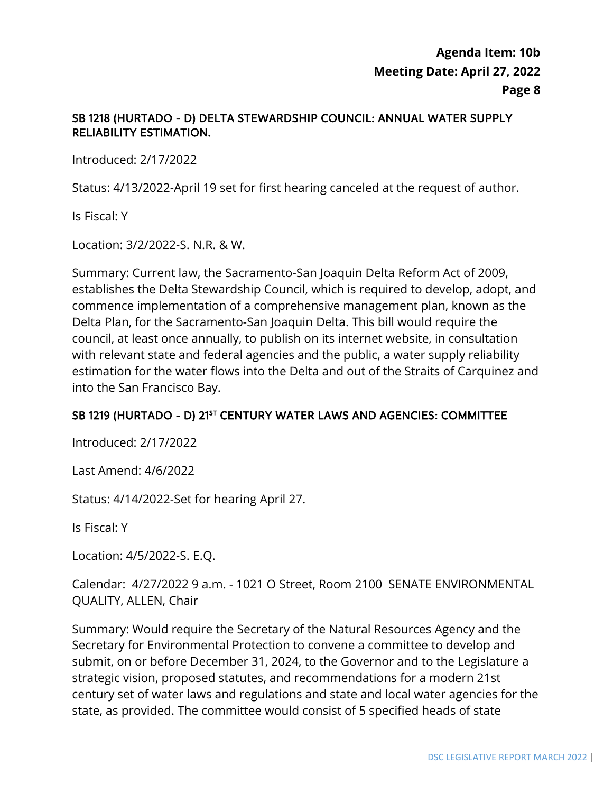### SB 1218 (HURTADO - D) DELTA STEWARDSHIP COUNCIL: ANNUAL WATER SUPPLY RELIABILITY ESTIMATION.

Introduced: 2/17/2022

Status: 4/13/2022-April 19 set for first hearing canceled at the request of author.

Is Fiscal: Y

Location: 3/2/2022-S. N.R. & W.

Summary: Current law, the Sacramento-San Joaquin Delta Reform Act of 2009, establishes the Delta Stewardship Council, which is required to develop, adopt, and commence implementation of a comprehensive management plan, known as the Delta Plan, for the Sacramento-San Joaquin Delta. This bill would require the council, at least once annually, to publish on its internet website, in consultation with relevant state and federal agencies and the public, a water supply reliability estimation for the water flows into the Delta and out of the Straits of Carquinez and into the San Francisco Bay.

### SB 1219 (HURTADO - D) 21<sup>st</sup> CENTURY WATER LAWS AND AGENCIES: COMMITTEE

Introduced: 2/17/2022

Last Amend: 4/6/2022

Status: 4/14/2022-Set for hearing April 27.

Is Fiscal: Y

Location: 4/5/2022-S. E.Q.

Calendar: 4/27/2022 9 a.m. - 1021 O Street, Room 2100 SENATE ENVIRONMENTAL QUALITY, ALLEN, Chair

Summary: Would require the Secretary of the Natural Resources Agency and the Secretary for Environmental Protection to convene a committee to develop and submit, on or before December 31, 2024, to the Governor and to the Legislature a strategic vision, proposed statutes, and recommendations for a modern 21st century set of water laws and regulations and state and local water agencies for the state, as provided. The committee would consist of 5 specified heads of state